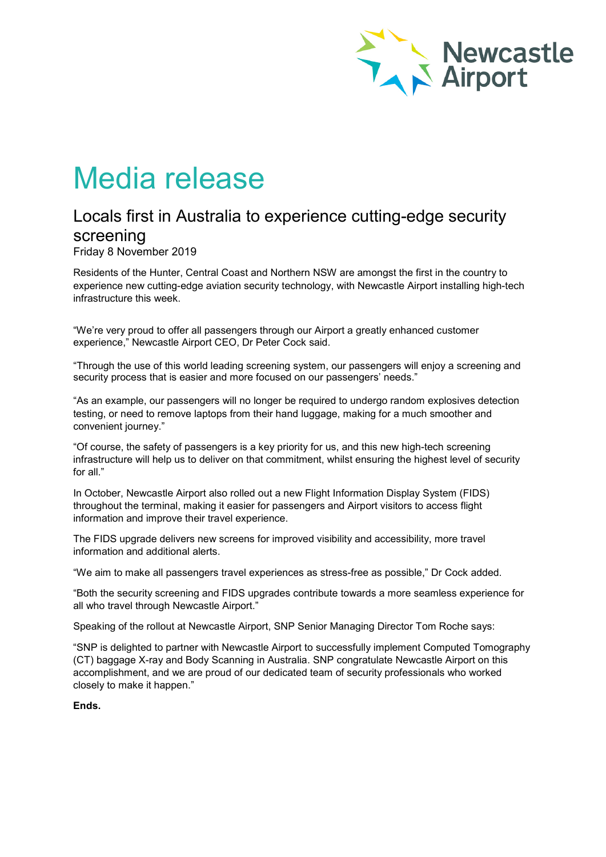

# Media release

# Locals first in Australia to experience cutting-edge security screening

Friday 8 November 2019

Residents of the Hunter, Central Coast and Northern NSW are amongst the first in the country to experience new cutting-edge aviation security technology, with Newcastle Airport installing high-tech infrastructure this week.

"We're very proud to offer all passengers through our Airport a greatly enhanced customer experience," Newcastle Airport CEO, Dr Peter Cock said.

"Through the use of this world leading screening system, our passengers will enjoy a screening and security process that is easier and more focused on our passengers' needs."

"As an example, our passengers will no longer be required to undergo random explosives detection testing, or need to remove laptops from their hand luggage, making for a much smoother and convenient journey."

"Of course, the safety of passengers is a key priority for us, and this new high-tech screening infrastructure will help us to deliver on that commitment, whilst ensuring the highest level of security for all."

In October, Newcastle Airport also rolled out a new Flight Information Display System (FIDS) throughout the terminal, making it easier for passengers and Airport visitors to access flight information and improve their travel experience.

The FIDS upgrade delivers new screens for improved visibility and accessibility, more travel information and additional alerts.

"We aim to make all passengers travel experiences as stress-free as possible," Dr Cock added.

"Both the security screening and FIDS upgrades contribute towards a more seamless experience for all who travel through Newcastle Airport."

Speaking of the rollout at Newcastle Airport, SNP Senior Managing Director Tom Roche says:

"SNP is delighted to partner with Newcastle Airport to successfully implement Computed Tomography (CT) baggage X-ray and Body Scanning in Australia. SNP congratulate Newcastle Airport on this accomplishment, and we are proud of our dedicated team of security professionals who worked closely to make it happen."

**Ends.**